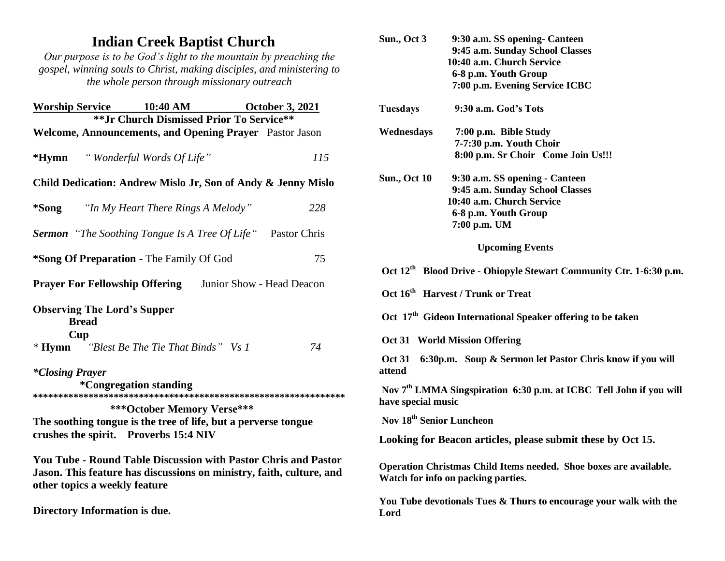## **Indian Creek Baptist Church**

*Our purpose is to be God's light to the mountain by preaching the gospel, winning souls to Christ, making disciples, and ministering to the whole person through missionary outreach*

| <b>Worship Service</b> 10:40 AM October 3, 2021                                                                                                                                                         |                                    |  |     |
|---------------------------------------------------------------------------------------------------------------------------------------------------------------------------------------------------------|------------------------------------|--|-----|
| ** Jr Church Dismissed Prior To Service**<br>Welcome, Announcements, and Opening Prayer Pastor Jason                                                                                                    |                                    |  |     |
| <i>*Hymn</i> "Wonderful Words Of Life"                                                                                                                                                                  |                                    |  | 115 |
| Child Dedication: Andrew Mislo Jr, Son of Andy & Jenny Mislo                                                                                                                                            |                                    |  |     |
| *Song                                                                                                                                                                                                   | "In My Heart There Rings A Melody" |  | 228 |
| <b>Sermon</b> "The Soothing Tongue Is A Tree Of Life" Pastor Chris                                                                                                                                      |                                    |  |     |
| *Song Of Preparation - The Family Of God                                                                                                                                                                |                                    |  | 75  |
| <b>Prayer For Fellowship Offering</b> Junior Show - Head Deacon                                                                                                                                         |                                    |  |     |
| <b>Observing The Lord's Supper</b><br><b>Bread</b><br>Cup<br>* Hymn "Blest Be The Tie That Binds" Vs 1                                                                                                  |                                    |  | 74  |
| <i>*Closing Prayer</i><br><i><b>*Congregation standing</b></i><br>***October Memory Verse***<br>The soothing tongue is the tree of life, but a perverse tongue<br>crushes the spirit. Proverbs 15:4 NIV |                                    |  |     |
| <b>You Tube - Round Table Discussion with Pastor Chris and Pastor</b><br>Jason. This feature has discussions on ministry, faith, culture, and<br>other topics a weekly feature                          |                                    |  |     |

**Directory Information is due.**

| Sun., Oct 3                                                                                             | 9:30 a.m. SS opening - Canteen<br>9:45 a.m. Sunday School Classes<br>10:40 a.m. Church Service<br>6-8 p.m. Youth Group<br>7:00 p.m. Evening Service ICBC |  |
|---------------------------------------------------------------------------------------------------------|----------------------------------------------------------------------------------------------------------------------------------------------------------|--|
| <b>Tuesdays</b>                                                                                         | 9:30 a.m. God's Tots                                                                                                                                     |  |
| Wednesdays                                                                                              | 7:00 p.m. Bible Study<br>7-7:30 p.m. Youth Choir<br>8:00 p.m. Sr Choir Come Join Us!!!                                                                   |  |
| <b>Sun., Oct 10</b>                                                                                     | 9:30 a.m. SS opening - Canteen<br>9:45 a.m. Sunday School Classes<br>10:40 a.m. Church Service<br>6-8 p.m. Youth Group<br>7:00 p.m. UM                   |  |
| <b>Upcoming Events</b>                                                                                  |                                                                                                                                                          |  |
| Oct 12 <sup>th</sup> Blood Drive - Ohiopyle Stewart Community Ctr. 1-6:30 p.m.                          |                                                                                                                                                          |  |
| Oct 16 <sup>th</sup> Harvest / Trunk or Treat                                                           |                                                                                                                                                          |  |
| Oct 17 <sup>th</sup> Gideon International Speaker offering to be taken                                  |                                                                                                                                                          |  |
| Oct 31 World Mission Offering                                                                           |                                                                                                                                                          |  |
| 6:30p.m. Soup & Sermon let Pastor Chris know if you will<br><b>Oct 31</b><br>attend                     |                                                                                                                                                          |  |
| Nov 7 <sup>th</sup> LMMA Singspiration 6:30 p.m. at ICBC Tell John if you will<br>have special music    |                                                                                                                                                          |  |
| Nov 18 <sup>th</sup> Senior Luncheon                                                                    |                                                                                                                                                          |  |
|                                                                                                         | Looking for Beacon articles, please submit these by Oct 15.                                                                                              |  |
| Operation Christmas Child Items needed. Shoe boxes are available.<br>Watch for info on packing parties. |                                                                                                                                                          |  |
| Lord                                                                                                    | You Tube devotionals Tues & Thurs to encourage your walk with the                                                                                        |  |